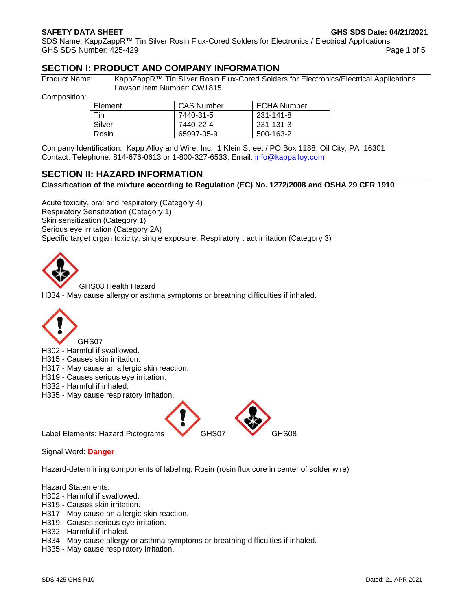**SAFETY DATA SHEET GHS SDS Date: 04/21/2021**

SDS Name: KappZappR™ Tin Silver Rosin Flux-Cored Solders for Electronics / Electrical Applications GHS SDS Number: 425-429 **Page 1 of 5** Page 1 of 5

# **SECTION I: PRODUCT AND COMPANY INFORMATION**

Product Name: KappZappR™ Tin Silver Rosin Flux-Cored Solders for Electronics/Electrical Applications Lawson Item Number: CW1815

Composition:

| Element | <b>CAS Number</b> | <b>ECHA Number</b> |
|---------|-------------------|--------------------|
| Tin     | 7440-31-5         | 231-141-8          |
| Silver  | 7440-22-4         | 231-131-3          |
| Rosin   | 65997-05-9        | 500-163-2          |

Company Identification: Kapp Alloy and Wire, Inc., 1 Klein Street / PO Box 1188, Oil City, PA 16301 Contact: Telephone: 814-676-0613 or 1-800-327-6533, Email: [info@kappalloy.com](mailto:info@kappalloy.com)

# **SECTION II: HAZARD INFORMATION**

## **Classification of the mixture according to Regulation (EC) No. 1272/2008 and OSHA 29 CFR 1910**

Acute toxicity, oral and respiratory (Category 4) Respiratory Sensitization (Category 1) Skin sensitization (Category 1) Serious eye irritation (Category 2A) Specific target organ toxicity, single exposure; Respiratory tract irritation (Category 3)



GHS08 Health Hazard

H334 - May cause allergy or asthma symptoms or breathing difficulties if inhaled.



H302 - Harmful if swallowed.

H315 - Causes skin irritation.

- H317 May cause an allergic skin reaction.
- H319 Causes serious eye irritation.
- H332 Harmful if inhaled.
- H335 May cause respiratory irritation.



Signal Word: **Danger**

Hazard-determining components of labeling: Rosin (rosin flux core in center of solder wire)

Hazard Statements:

- H302 Harmful if swallowed.
- H315 Causes skin irritation.
- H317 May cause an allergic skin reaction.
- H319 Causes serious eye irritation.
- H332 Harmful if inhaled.
- H334 May cause allergy or asthma symptoms or breathing difficulties if inhaled.
- H335 May cause respiratory irritation.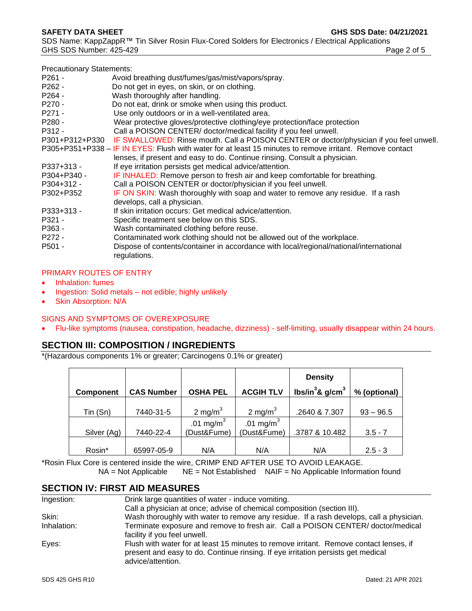lenses, if present and easy to do. Continue rinsing. Consult a physician. P337+313 - If eye irritation persists get medical advice/attention. P304+P340 - IF INHALED: Remove person to fresh air and keep comfortable for breathing.

P305+P351+P338 – IF IN EYES: Flush with water for at least 15 minutes to remove irritant. Remove contact

P301+P312+P330 IF SWALLOWED: Rinse mouth. Call a POISON CENTER or doctor/physician if you feel unwell.

- P304+312 Call a POISON CENTER or doctor/physician if you feel unwell.
- P302+P352 IF ON SKIN: Wash thoroughly with soap and water to remove any residue. If a rash develops, call a physician.
- P333+313 If skin irritation occurs: Get medical advice/attention.

P261 - Avoid breathing dust/fumes/gas/mist/vapors/spray.

P270 - Do not eat, drink or smoke when using this product. P271 - Use only outdoors or in a well-ventilated area.

P262 - Do not get in eyes, on skin, or on clothing.

P264 - Wash thoroughly after handling.

- P321 Specific treatment see below on this SDS.
- P363 Wash contaminated clothing before reuse.
- P272 Contaminated work clothing should not be allowed out of the workplace.

P280 - Wear protective gloves/protective clothing/eye protection/face protection P312 - Call a POISON CENTER/ doctor/medical facility if you feel unwell.

P501 - Dispose of contents/container in accordance with local/regional/national/international regulations.

## PRIMARY ROUTES OF ENTRY

- Inhalation: fumes
- Ingestion: Solid metals not edible; highly unlikely
- **Skin Absorption: N/A**

## SIGNS AND SYMPTOMS OF OVEREXPOSURE

• Flu-like symptoms (nausea, constipation, headache, dizziness) - self-limiting, usually disappear within 24 hours.

# **SECTION III: COMPOSITION / INGREDIENTS**

\*(Hazardous components 1% or greater; Carcinogens 0.1% or greater)

|                  |                   |                 |                  | <b>Density</b>        |              |
|------------------|-------------------|-----------------|------------------|-----------------------|--------------|
| <b>Component</b> | <b>CAS Number</b> | <b>OSHA PEL</b> | <b>ACGIH TLV</b> | lbs/in $3$ & g/cm $3$ | % (optional) |
|                  |                   |                 |                  |                       |              |
| Tin (Sn)         | 7440-31-5         | 2 mg/m $3$      | 2 mg/m $3$       | .2640 & 7.307         | $93 - 96.5$  |
|                  |                   | .01 mg/m $^3$   | .01 mg/m $3$     |                       |              |
| Silver (Ag)      | 7440-22-4         | (Dust&Fume)     | (Dust&Fume)      | .3787 & 10.482        | $3.5 - 7$    |
|                  |                   |                 |                  |                       |              |
| Rosin*           | 65997-05-9        | N/A             | N/A              | N/A                   | $2.5 - 3$    |

\*Rosin Flux Core is centered inside the wire, CRIMP END AFTER USE TO AVOID LEAKAGE.  $NA = Not$  Applicable  $NE = Not$  Established  $NAIF = No$  Applicable Information found

# **SECTION IV: FIRST AID MEASURES**

| Drink large quantities of water - induce vomiting.                                                                                                                                              |
|-------------------------------------------------------------------------------------------------------------------------------------------------------------------------------------------------|
| Call a physician at once; advise of chemical composition (section III).                                                                                                                         |
| Wash thoroughly with water to remove any residue. If a rash develops, call a physician.                                                                                                         |
| Terminate exposure and remove to fresh air. Call a POISON CENTER/ doctor/medical                                                                                                                |
| facility if you feel unwell.                                                                                                                                                                    |
| Flush with water for at least 15 minutes to remove irritant. Remove contact lenses, if<br>present and easy to do. Continue rinsing. If eye irritation persists get medical<br>advice/attention. |
|                                                                                                                                                                                                 |

#### **SAFETY DATA SHEET GHS SDS Date: 04/21/2021**

Precautionary Statements:

SDS Name: KappZappR™ Tin Silver Rosin Flux-Cored Solders for Electronics / Electrical Applications GHS SDS Number: 425-429 **Page 2 of 5** Page 2 of 5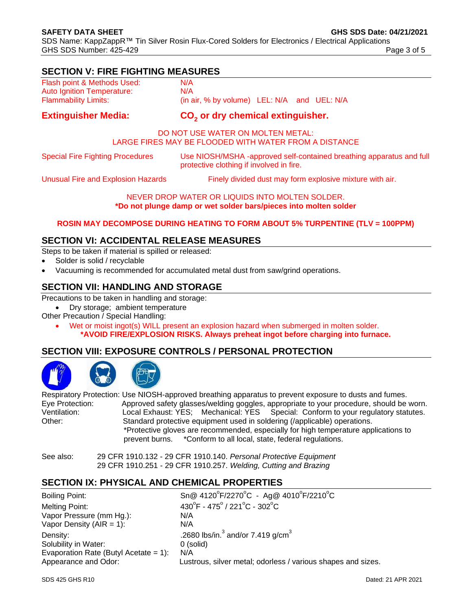# **SECTION V: FIRE FIGHTING MEASURES**

| <b>Extinguisher Media:</b>        | CO <sub>2</sub> or dry chemical extinguisher.     |  |  |
|-----------------------------------|---------------------------------------------------|--|--|
| <b>Flammability Limits:</b>       | (in air, $%$ by volume) LEL: $N/A$ and UEL: $N/A$ |  |  |
| <b>Auto Ignition Temperature:</b> | N/A                                               |  |  |
| Flash point & Methods Used:       | N/A                                               |  |  |

## DO NOT USE WATER ON MOLTEN METAL: LARGE FIRES MAY BE FLOODED WITH WATER FROM A DISTANCE

Special Fire Fighting Procedures Use NIOSH/MSHA -approved self-contained breathing apparatus and full protective clothing if involved in fire.

Unusual Fire and Explosion Hazards Finely divided dust may form explosive mixture with air.

NEVER DROP WATER OR LIQUIDS INTO MOLTEN SOLDER. **\*Do not plunge damp or wet solder bars/pieces into molten solder**

## **ROSIN MAY DECOMPOSE DURING HEATING TO FORM ABOUT 5% TURPENTINE (TLV = 100PPM)**

# **SECTION VI: ACCIDENTAL RELEASE MEASURES**

Steps to be taken if material is spilled or released:

- Solder is solid / recyclable
- Vacuuming is recommended for accumulated metal dust from saw/grind operations.

# **SECTION VII: HANDLING AND STORAGE**

Precautions to be taken in handling and storage:

• Dry storage; ambient temperature

Other Precaution / Special Handling:

• Wet or moist ingot(s) WILL present an explosion hazard when submerged in molten solder. **\*AVOID FIRE/EXPLOSION RISKS. Always preheat ingot before charging into furnace.**

# **SECTION VIII: EXPOSURE CONTROLS / PERSONAL PROTECTION**





Respiratory Protection: Use NIOSH-approved breathing apparatus to prevent exposure to dusts and fumes. Eye Protection: Approved safety glasses/welding goggles, appropriate to your procedure, should be worn.<br>Ventilation: Local Exhaust: YES; Mechanical: YES Special: Conform to your regulatory statutes. Special: Conform to your regulatory statutes. Other: Standard protective equipment used in soldering (/applicable) operations. \*Protective gloves are recommended, especially for high temperature applications to prevent burns. \*Conform to all local, state, federal regulations.

See also: 29 CFR 1910.132 - 29 CFR 1910.140. *Personal Protective Equipment* 29 CFR 1910.251 - 29 CFR 1910.257. *Welding, Cutting and Brazing*

# **SECTION IX: PHYSICAL AND CHEMICAL PROPERTIES**

| Boiling Point:                        | $Sn@ 4120^{\circ}F/2270^{\circ}C - Ag@ 4010^{\circ}F/2210^{\circ}C$    |
|---------------------------------------|------------------------------------------------------------------------|
| Melting Point:                        | $430^{\circ}$ F - 475 $^{\circ}$ / 221 $^{\circ}$ C - 302 $^{\circ}$ C |
| Vapor Pressure (mm Hg.):              | N/A                                                                    |
| Vapor Density ( $AIR = 1$ ):          | N/A                                                                    |
| Density:                              | .2680 lbs/in. $3$ and/or 7.419 g/cm <sup>3</sup>                       |
| Solubility in Water:                  | 0 (solid)                                                              |
| Evaporation Rate (Butyl Acetate = 1): | N/A                                                                    |
| Appearance and Odor:                  | Lustrous, silver metal; odorless / various shapes and sizes.           |
|                                       |                                                                        |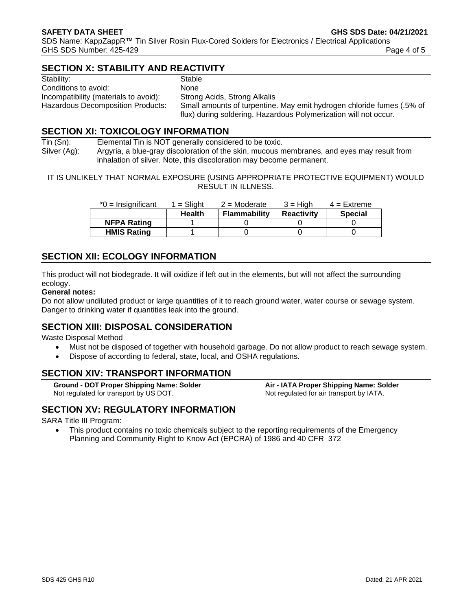# **SECTION X: STABILITY AND REACTIVITY**

| Stability:                            | Stable                                                                |
|---------------------------------------|-----------------------------------------------------------------------|
| Conditions to avoid:                  | <b>None</b>                                                           |
| Incompatibility (materials to avoid): | Strong Acids, Strong Alkalis                                          |
| Hazardous Decomposition Products:     | Small amounts of turpentine. May emit hydrogen chloride fumes (.5% of |
|                                       | flux) during soldering. Hazardous Polymerization will not occur.      |

# **SECTION XI: TOXICOLOGY INFORMATION**

Tin (Sn): Elemental Tin is NOT generally considered to be toxic. Silver (Ag): Argyria, a blue-gray discoloration of the skin, mucous membranes, and eyes may result from inhalation of silver. Note, this discoloration may become permanent.

IT IS UNLIKELY THAT NORMAL EXPOSURE (USING APPROPRIATE PROTECTIVE EQUIPMENT) WOULD RESULT IN ILLNESS.

| $^*0$ = Insignificant | $1 =$ Slight  | $2 =$ Moderate | 3 = Hiah          | $4$ = Extreme  |
|-----------------------|---------------|----------------|-------------------|----------------|
|                       | <b>Health</b> | Flammability   | <b>Reactivity</b> | <b>Special</b> |
| <b>NFPA Rating</b>    |               |                |                   |                |
| <b>HMIS Rating</b>    |               |                |                   |                |

# **SECTION XII: ECOLOGY INFORMATION**

This product will not biodegrade. It will oxidize if left out in the elements, but will not affect the surrounding ecology.

## **General notes:**

Do not allow undiluted product or large quantities of it to reach ground water, water course or sewage system. Danger to drinking water if quantities leak into the ground.

# **SECTION XIII: DISPOSAL CONSIDERATION**

Waste Disposal Method

- Must not be disposed of together with household garbage. Do not allow product to reach sewage system.
- Dispose of according to federal, state, local, and OSHA regulations.

# **SECTION XIV: TRANSPORT INFORMATION**

**Ground - DOT Proper Shipping Name: Solder Air - IATA Proper Shipping Name: Solder** Not regulated for transport by US DOT. Not regulated for air transport by IATA.

# **SECTION XV: REGULATORY INFORMATION**

#### SARA Title III Program:

• This product contains no toxic chemicals subject to the reporting requirements of the Emergency Planning and Community Right to Know Act (EPCRA) of 1986 and 40 CFR 372